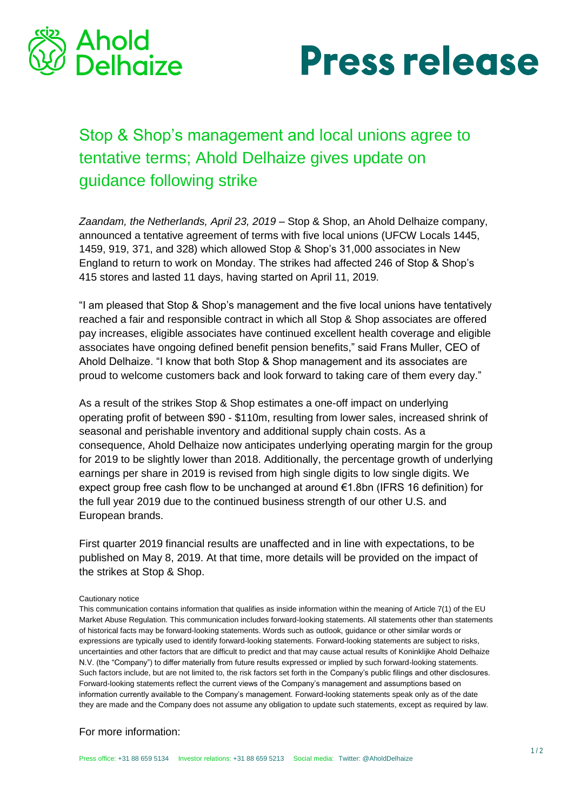



## Stop & Shop's management and local unions agree to tentative terms; Ahold Delhaize gives update on guidance following strike

*Zaandam, the Netherlands, April 23, 2019 –* Stop & Shop, an Ahold Delhaize company, announced a tentative agreement of terms with five local unions (UFCW Locals 1445, 1459, 919, 371, and 328) which allowed Stop & Shop's 31,000 associates in New England to return to work on Monday. The strikes had affected 246 of Stop & Shop's 415 stores and lasted 11 days, having started on April 11, 2019.

"I am pleased that Stop & Shop's management and the five local unions have tentatively reached a fair and responsible contract in which all Stop & Shop associates are offered pay increases, eligible associates have continued excellent health coverage and eligible associates have ongoing defined benefit pension benefits," said Frans Muller, CEO of Ahold Delhaize. "I know that both Stop & Shop management and its associates are proud to welcome customers back and look forward to taking care of them every day."

As a result of the strikes Stop & Shop estimates a one-off impact on underlying operating profit of between \$90 - \$110m, resulting from lower sales, increased shrink of seasonal and perishable inventory and additional supply chain costs. As a consequence, Ahold Delhaize now anticipates underlying operating margin for the group for 2019 to be slightly lower than 2018. Additionally, the percentage growth of underlying earnings per share in 2019 is revised from high single digits to low single digits. We expect group free cash flow to be unchanged at around €1.8bn (IFRS 16 definition) for the full year 2019 due to the continued business strength of our other U.S. and European brands.

First quarter 2019 financial results are unaffected and in line with expectations, to be published on May 8, 2019. At that time, more details will be provided on the impact of the strikes at Stop & Shop.

## Cautionary notice

This communication contains information that qualifies as inside information within the meaning of Article 7(1) of the EU Market Abuse Regulation. This communication includes forward-looking statements. All statements other than statements of historical facts may be forward-looking statements. Words such as outlook, guidance or other similar words or expressions are typically used to identify forward-looking statements. Forward-looking statements are subject to risks, uncertainties and other factors that are difficult to predict and that may cause actual results of Koninklijke Ahold Delhaize N.V. (the "Company") to differ materially from future results expressed or implied by such forward-looking statements. Such factors include, but are not limited to, the risk factors set forth in the Company's public filings and other disclosures. Forward-looking statements reflect the current views of the Company's management and assumptions based on information currently available to the Company's management. Forward-looking statements speak only as of the date they are made and the Company does not assume any obligation to update such statements, except as required by law.

## For more information: